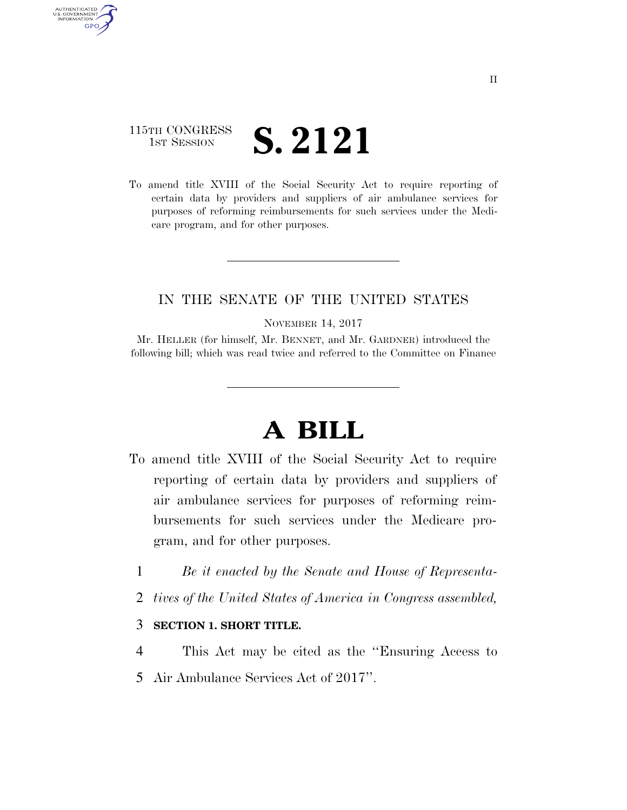## 115TH CONGRESS **IST SESSION S. 2121**

AUTHENTICATED U.S. GOVERNMENT GPO

> To amend title XVIII of the Social Security Act to require reporting of certain data by providers and suppliers of air ambulance services for purposes of reforming reimbursements for such services under the Medicare program, and for other purposes.

## IN THE SENATE OF THE UNITED STATES

NOVEMBER 14, 2017

Mr. HELLER (for himself, Mr. BENNET, and Mr. GARDNER) introduced the following bill; which was read twice and referred to the Committee on Finance

## **A BILL**

- To amend title XVIII of the Social Security Act to require reporting of certain data by providers and suppliers of air ambulance services for purposes of reforming reimbursements for such services under the Medicare program, and for other purposes.
	- 1 *Be it enacted by the Senate and House of Representa-*
	- 2 *tives of the United States of America in Congress assembled,*

## 3 **SECTION 1. SHORT TITLE.**

4 This Act may be cited as the ''Ensuring Access to 5 Air Ambulance Services Act of 2017''.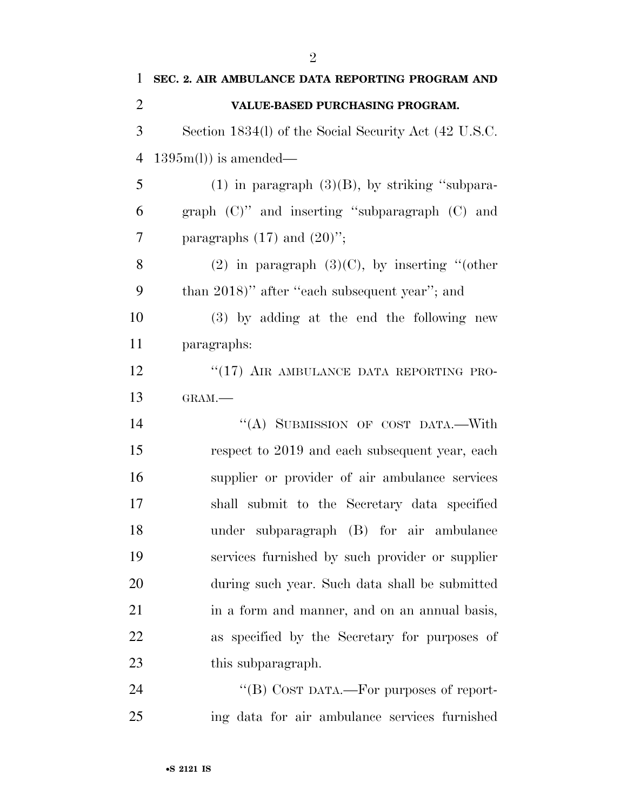| 1              | SEC. 2. AIR AMBULANCE DATA REPORTING PROGRAM AND      |
|----------------|-------------------------------------------------------|
| $\overline{2}$ | VALUE-BASED PURCHASING PROGRAM.                       |
| 3              | Section 1834(l) of the Social Security Act (42 U.S.C. |
| 4              | $1395m(l)$ is amended—                                |
| 5              | $(1)$ in paragraph $(3)(B)$ , by striking "subpara-   |
| 6              | graph $(C)$ " and inserting "subparagraph $(C)$ and   |
| $\tau$         | paragraphs $(17)$ and $(20)$ ";                       |
| 8              | (2) in paragraph $(3)(C)$ , by inserting "(other      |
| 9              | than 2018)" after "each subsequent year"; and         |
| 10             | (3) by adding at the end the following new            |
| 11             | paragraphs:                                           |
| 12             | "(17) AIR AMBULANCE DATA REPORTING PRO-               |
| 13             | GRAM.-                                                |
| 14             | "(A) SUBMISSION OF COST DATA.-With                    |
| 15             | respect to 2019 and each subsequent year, each        |
| 16             | supplier or provider of air ambulance services        |
| 17             | shall submit to the Secretary data specified          |
| 18             | under subparagraph (B) for air ambulance              |
| 19             | services furnished by such provider or supplier       |
| 20             | during such year. Such data shall be submitted        |
| 21             | in a form and manner, and on an annual basis,         |
| 22             | as specified by the Secretary for purposes of         |
| 23             | this subparagraph.                                    |
| 24             | "(B) COST DATA.—For purposes of report-               |
| 25             | ing data for air ambulance services furnished         |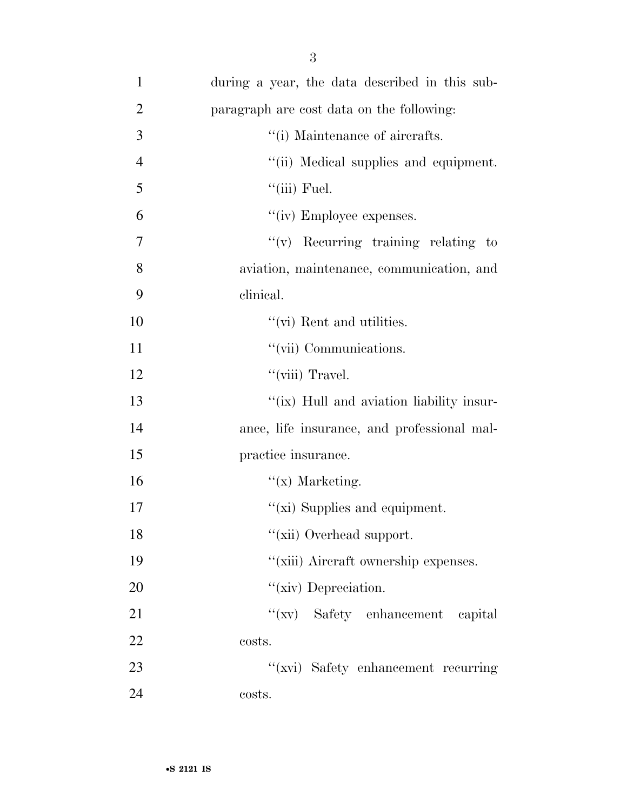| $\mathbf{1}$   | during a year, the data described in this sub- |
|----------------|------------------------------------------------|
| $\overline{2}$ | paragraph are cost data on the following:      |
| 3              | "(i) Maintenance of aircrafts.                 |
| $\overline{4}$ | "(ii) Medical supplies and equipment.          |
| 5              | $``$ (iii) Fuel.                               |
| 6              | "(iv) Employee expenses.                       |
| 7              | $f'(v)$ Recurring training relating to         |
| 8              | aviation, maintenance, communication, and      |
| 9              | clinical.                                      |
| 10             | "(vi) Rent and utilities.                      |
| 11             | "(vii) Communications.                         |
| 12             | "(viii) Travel.                                |
| 13             | "(ix) Hull and aviation liability insur-       |
| 14             | ance, life insurance, and professional mal-    |
| 15             | practice insurance.                            |
| 16             | $f(x)$ Marketing.                              |
| 17             | " $(xi)$ Supplies and equipment.               |
| 18             | "(xii) Overhead support.                       |
| 19             | "(xiii) Aircraft ownership expenses.           |
| 20             | "(xiv) Depreciation.                           |
| 21             | "(xv) Safety enhancement capital               |
| 22             | costs.                                         |
| 23             | "(xvi) Safety enhancement recurring            |
| 24             | costs.                                         |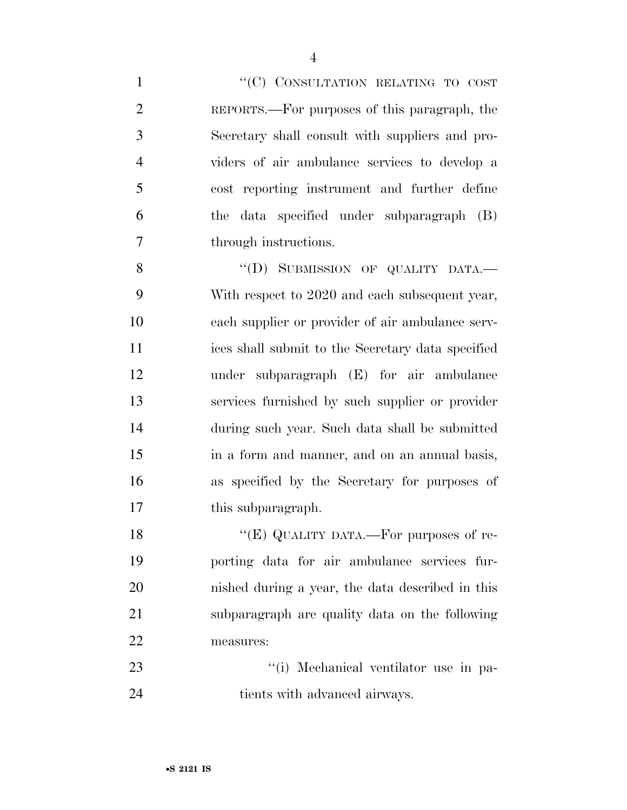1 "'(C) CONSULTATION RELATING TO COST REPORTS.—For purposes of this paragraph, the Secretary shall consult with suppliers and pro- viders of air ambulance services to develop a cost reporting instrument and further define the data specified under subparagraph (B) through instructions. 8 "(D) SUBMISSION OF QUALITY DATA.

 With respect to 2020 and each subsequent year, each supplier or provider of air ambulance serv- ices shall submit to the Secretary data specified under subparagraph (E) for air ambulance services furnished by such supplier or provider during such year. Such data shall be submitted in a form and manner, and on an annual basis, as specified by the Secretary for purposes of 17 this subparagraph.

18 "(E) QUALITY DATA.—For purposes of re- porting data for air ambulance services fur- nished during a year, the data described in this subparagraph are quality data on the following measures:

23  $\frac{1}{1}$  Mechanical ventilator use in pa-24 tients with advanced airways.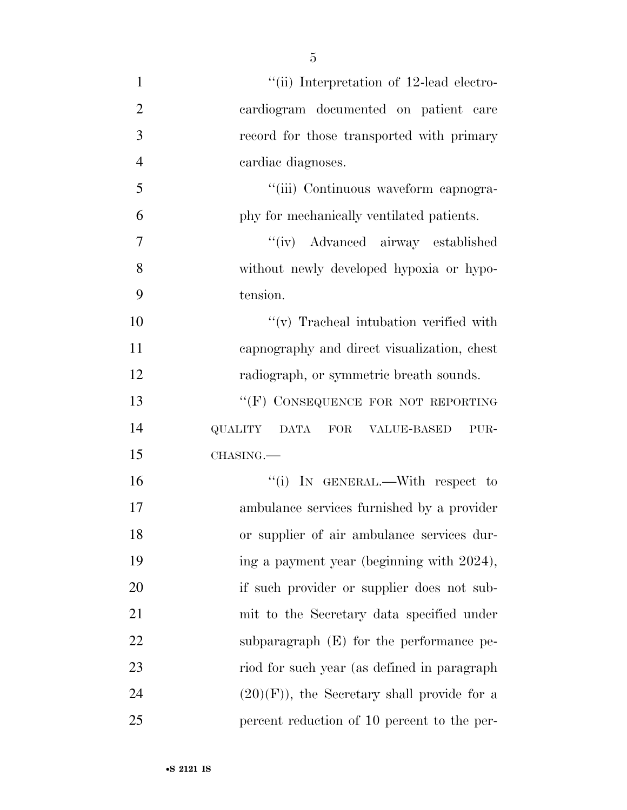| $\mathbf{1}$   | "(ii) Interpretation of 12-lead electro-          |
|----------------|---------------------------------------------------|
| $\overline{2}$ | cardiogram documented on patient care             |
| 3              | record for those transported with primary         |
| $\overline{4}$ | cardiac diagnoses.                                |
| 5              | "(iii) Continuous waveform capnogra-              |
| 6              | phy for mechanically ventilated patients.         |
| $\overline{7}$ | "(iv) Advanced airway established                 |
| 8              | without newly developed hypoxia or hypo-          |
| 9              | tension.                                          |
| 10             | $\lq\lq$ Tracheal intubation verified with        |
| 11             | capnography and direct visualization, chest       |
| 12             | radiograph, or symmetric breath sounds.           |
| 13             | "(F) CONSEQUENCE FOR NOT REPORTING                |
| 14             | QUALITY<br><b>DATA</b><br>FOR VALUE-BASED<br>PUR- |
| 15             | CHASING.                                          |
| 16             | "(i) IN GENERAL.—With respect to                  |
| 17             | ambulance services furnished by a provider        |
| 18             | or supplier of air ambulance services dur-        |
| 19             | ing a payment year (beginning with 2024),         |
| <b>20</b>      | if such provider or supplier does not sub-        |
| 21             | mit to the Secretary data specified under         |
| 22             | subparagraph $(E)$ for the performance pe-        |
| 23             | riod for such year (as defined in paragraph       |
| 24             | $(20)(F)$ , the Secretary shall provide for a     |
| 25             | percent reduction of 10 percent to the per-       |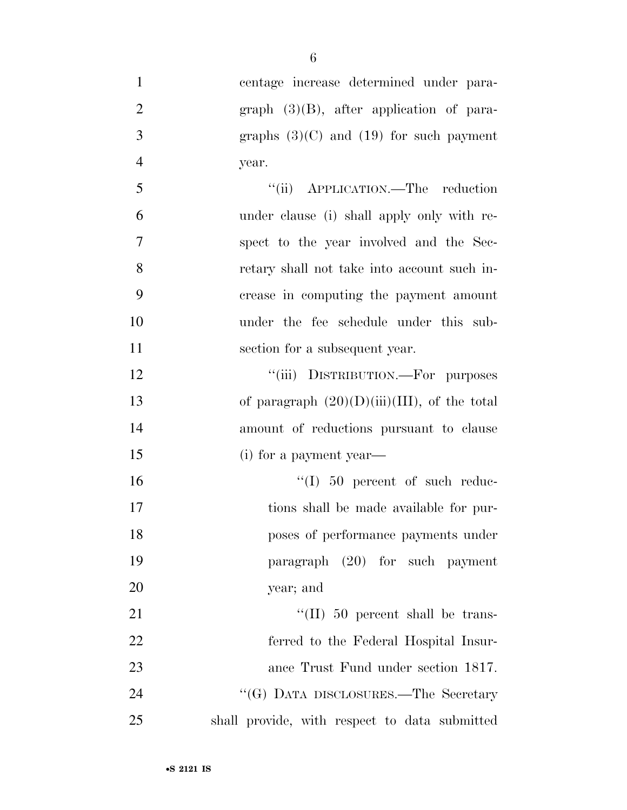centage increase determined under para-2 graph (3)(B), after application of para- $3 \qquad \qquad \text{graphs} \quad (3)(C) \text{ and } (19) \text{ for such payment}$ year.

| $\overline{5}$ | "(ii) APPLICATION.—The reduction            |
|----------------|---------------------------------------------|
| 6              | under clause (i) shall apply only with re-  |
| -7             | spect to the year involved and the Sec-     |
| 8              | retary shall not take into account such in- |
| -9             | crease in computing the payment amount      |
| 10             | under the fee schedule under this sub-      |
| 11             | section for a subsequent year.              |

12 "(iii) DISTRIBUTION.—For purposes 13 of paragraph  $(20)(D)(iii)(III)$ , of the total amount of reductions pursuant to clause (i) for a payment year—

 $\text{``(I)}$  50 percent of such reduc- tions shall be made available for pur- poses of performance payments under paragraph (20) for such payment year; and

 $\text{``(II)}\,50$  percent shall be trans- ferred to the Federal Hospital Insur- ance Trust Fund under section 1817. 24 ''(G) DATA DISCLOSURES.—The Secretary shall provide, with respect to data submitted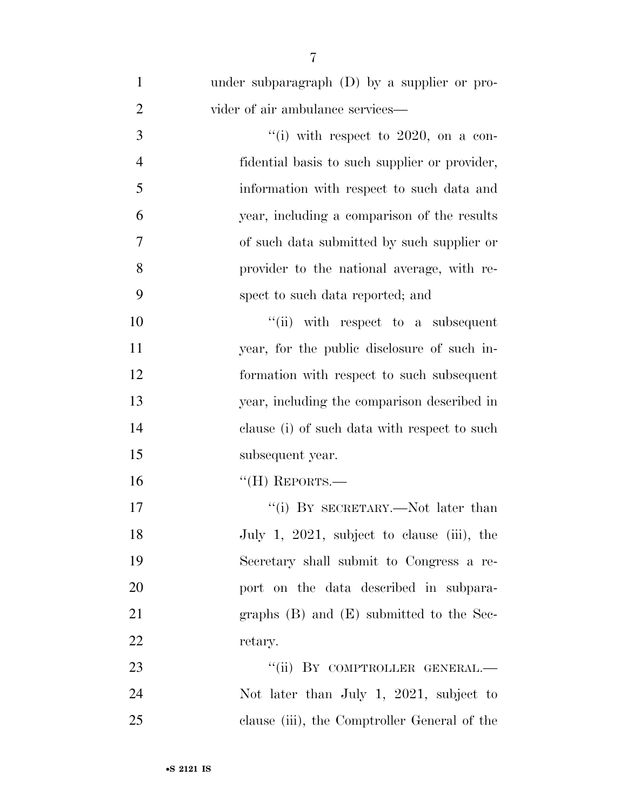| $\mathbf{1}$   | under subparagraph (D) by a supplier or pro-  |
|----------------|-----------------------------------------------|
| $\overline{2}$ | vider of air ambulance services—              |
| 3              | "(i) with respect to $2020$ , on a con-       |
| $\overline{4}$ | fidential basis to such supplier or provider, |
| 5              | information with respect to such data and     |
| 6              | year, including a comparison of the results   |
| 7              | of such data submitted by such supplier or    |
| 8              | provider to the national average, with re-    |
| 9              | spect to such data reported; and              |
| 10             | "(ii) with respect to a subsequent            |
| 11             | year, for the public disclosure of such in-   |
| 12             | formation with respect to such subsequent     |
| 13             | year, including the comparison described in   |
| 14             | clause (i) of such data with respect to such  |
| 15             | subsequent year.                              |
| 16             | $``$ (H) REPORTS.—                            |
| 17             | "(i) BY SECRETARY.—Not later than             |
| 18             | July 1, 2021, subject to clause (iii), the    |
| 19             | Secretary shall submit to Congress a re-      |
| 20             | port on the data described in subpara-        |
| 21             | graphs $(B)$ and $(E)$ submitted to the Sec-  |
| 22             | retary.                                       |
| 23             | "(ii) BY COMPTROLLER GENERAL.—                |
| 24             | Not later than July 1, 2021, subject to       |
| 25             | clause (iii), the Comptroller General of the  |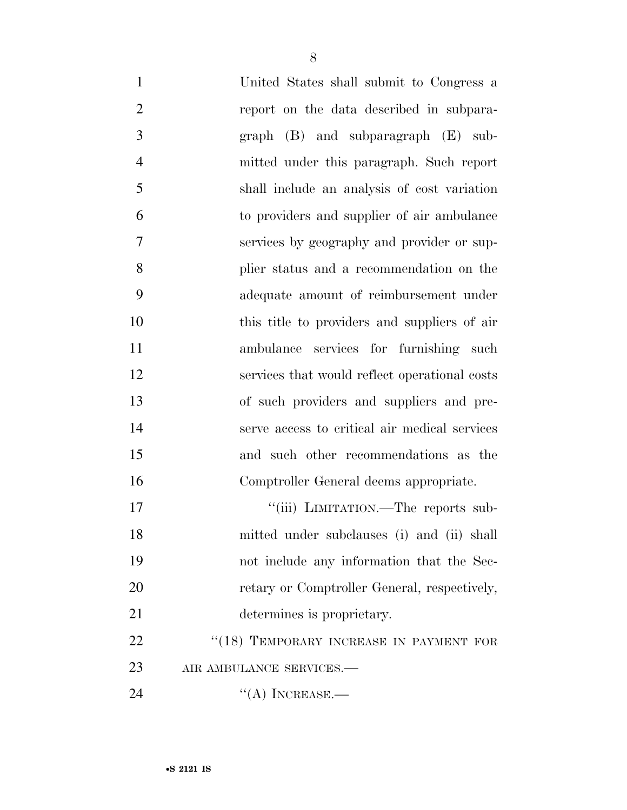| $\mathbf{1}$   | United States shall submit to Congress a      |
|----------------|-----------------------------------------------|
| $\overline{2}$ | report on the data described in subpara-      |
| 3              | $graph$ (B) and subparagraph (E) sub-         |
| $\overline{4}$ | mitted under this paragraph. Such report      |
| 5              | shall include an analysis of cost variation   |
| 6              | to providers and supplier of air ambulance    |
| $\overline{7}$ | services by geography and provider or sup-    |
| 8              | plier status and a recommendation on the      |
| 9              | adequate amount of reimbursement under        |
| 10             | this title to providers and suppliers of air  |
| 11             | ambulance services for furnishing such        |
| 12             | services that would reflect operational costs |
| 13             | of such providers and suppliers and pre-      |
| 14             | serve access to critical air medical services |
| 15             | and such other recommendations as the         |
| 16             | Comptroller General deems appropriate.        |
| 17             | "(iii) LIMITATION.—The reports sub-           |
| 18             | mitted under subclauses (i) and (ii) shall    |
| 19             | not include any information that the Sec-     |
| 20             | retary or Comptroller General, respectively,  |
| 21             | determines is proprietary.                    |
| 22             | "(18) TEMPORARY INCREASE IN PAYMENT FOR       |
| 23             | AIR AMBULANCE SERVICES.-                      |
| 24             | $\lq\lq$ (A) INCREASE.—                       |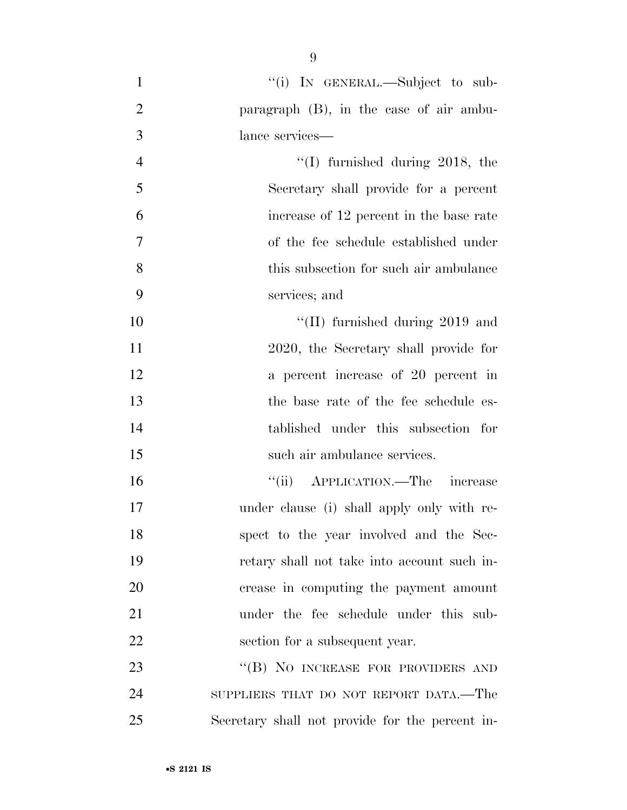1 "(i) In GENERAL.—Subject to sub- paragraph (B), in the case of air ambu- lance services— 4 ''(I) furnished during 2018, the Secretary shall provide for a percent increase of 12 percent in the base rate of the fee schedule established under this subsection for such air ambulance services; and  $\text{``(II)}$  furnished during 2019 and 2020, the Secretary shall provide for a percent increase of 20 percent in the base rate of the fee schedule es- tablished under this subsection for such air ambulance services. ''(ii) APPLICATION.—The increase under clause (i) shall apply only with re- spect to the year involved and the Sec- retary shall not take into account such in- crease in computing the payment amount under the fee schedule under this sub-22 section for a subsequent year. 23 "(B) NO INCREASE FOR PROVIDERS AND SUPPLIERS THAT DO NOT REPORT DATA.—The Secretary shall not provide for the percent in-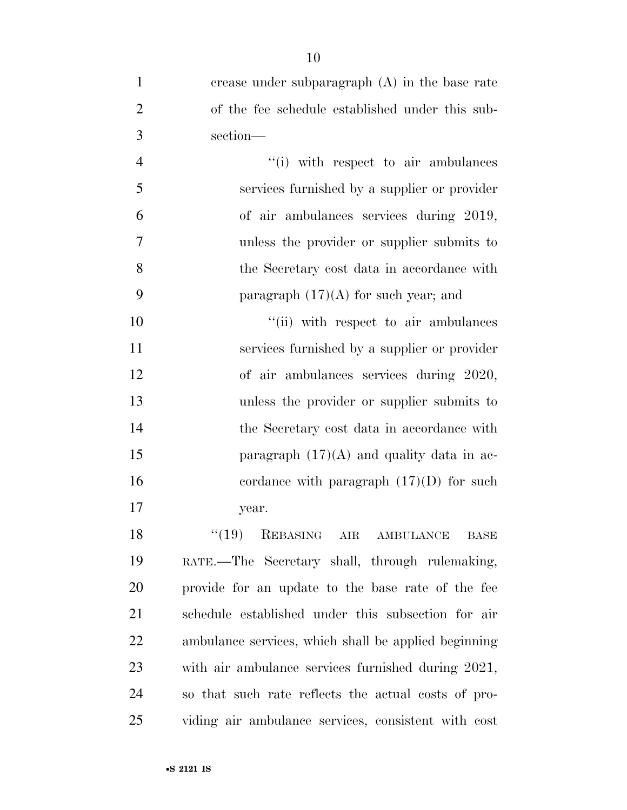| $\mathbf{1}$   | crease under subparagraph $(A)$ in the base rate     |
|----------------|------------------------------------------------------|
| $\overline{2}$ | of the fee schedule established under this sub-      |
| $\mathfrak{Z}$ | section-                                             |
| $\overline{4}$ | "(i) with respect to air ambulances                  |
| 5              | services furnished by a supplier or provider         |
| 6              | of air ambulances services during 2019,              |
| 7              | unless the provider or supplier submits to           |
| 8              | the Secretary cost data in accordance with           |
| 9              | paragraph $(17)(A)$ for such year; and               |
| 10             | "(ii) with respect to air ambulances                 |
| 11             | services furnished by a supplier or provider         |
| 12             | of air ambulances services during 2020,              |
| 13             | unless the provider or supplier submits to           |
| 14             | the Secretary cost data in accordance with           |
| 15             | paragraph $(17)(A)$ and quality data in ac-          |
| 16             | cordance with paragraph $(17)(D)$ for such           |
| 17             | year.                                                |
| 18             | $``(19)$ REBASING AIR AMBULANCE<br>BASE              |
| 19             | RATE.—The Secretary shall, through rulemaking,       |
| 20             | provide for an update to the base rate of the fee    |
| 21             | schedule established under this subsection for air   |
| 22             | ambulance services, which shall be applied beginning |
| 23             | with air ambulance services furnished during 2021,   |
| 24             | so that such rate reflects the actual costs of pro-  |
| 25             | viding air ambulance services, consistent with cost  |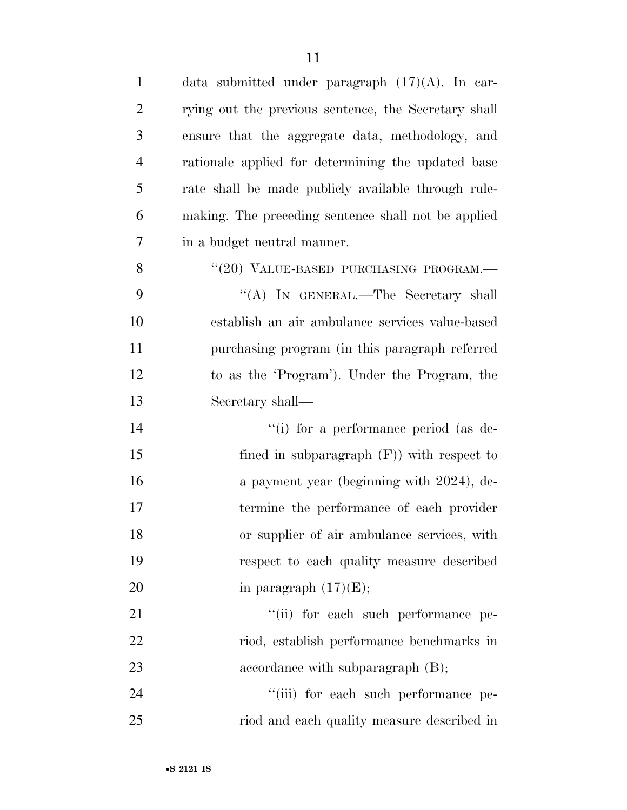| $\mathbf{1}$   | data submitted under paragraph $(17)(A)$ . In car-   |
|----------------|------------------------------------------------------|
| $\overline{2}$ | rying out the previous sentence, the Secretary shall |
| 3              | ensure that the aggregate data, methodology, and     |
| 4              | rationale applied for determining the updated base   |
| 5              | rate shall be made publicly available through rule-  |
| 6              | making. The preceding sentence shall not be applied  |
| 7              | in a budget neutral manner.                          |
| 8              | "(20) VALUE-BASED PURCHASING PROGRAM.-               |
| 9              | "(A) IN GENERAL.—The Secretary shall                 |
| 10             | establish an air ambulance services value-based      |
| 11             | purchasing program (in this paragraph referred       |
| 12             | to as the 'Program'). Under the Program, the         |
| 13             | Secretary shall—                                     |
| 14             | "(i) for a performance period (as de-                |
| 15             | fined in subparagraph $(F)$ ) with respect to        |
| 16             | a payment year (beginning with 2024), de-            |
| 17             | termine the performance of each provider             |
| 18             | or supplier of air ambulance services, with          |
| 19             | respect to each quality measure described            |
| 20             | in paragraph $(17)(E)$ ;                             |
| 21             | "(ii) for each such performance pe-                  |
| 22             | riod, establish performance benchmarks in            |
| 23             | accordance with subparagraph $(B)$ ;                 |
| 24             | "(iii) for each such performance pe-                 |
| 25             | riod and each quality measure described in           |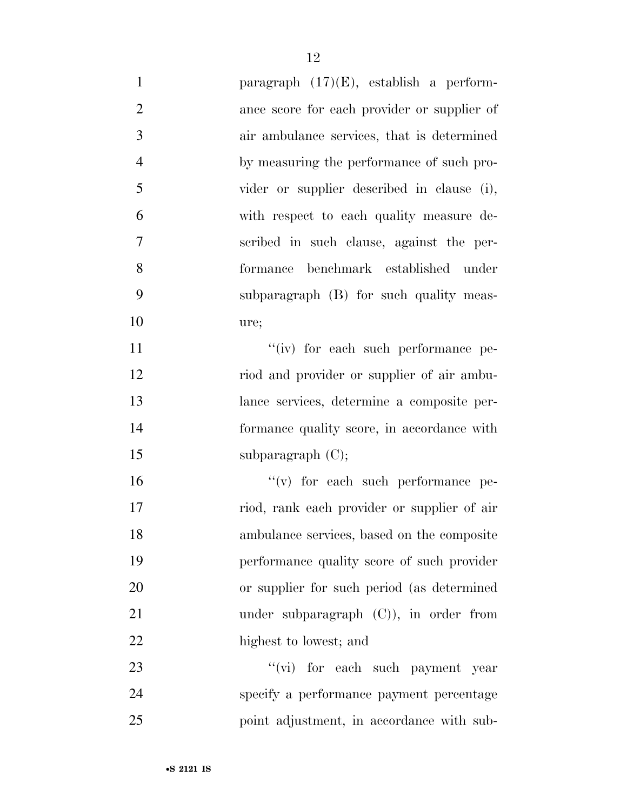| $\mathbf{1}$   | paragraph $(17)(E)$ , establish a perform-  |
|----------------|---------------------------------------------|
| $\overline{2}$ | ance score for each provider or supplier of |
| 3              | air ambulance services, that is determined  |
| $\overline{4}$ | by measuring the performance of such pro-   |
| 5              | vider or supplier described in clause (i),  |
| 6              | with respect to each quality measure de-    |
| $\tau$         | scribed in such clause, against the per-    |
| 8              | formance benchmark established under        |
| 9              | subparagraph (B) for such quality meas-     |
| 10             | ure;                                        |
| 11             | "(iv) for each such performance pe-         |
| 12             | riod and provider or supplier of air ambu-  |
| 13             | lance services, determine a composite per-  |
| 14             | formance quality score, in accordance with  |
| 15             | subparagraph $(C)$ ;                        |
| 16             | $f'(v)$ for each such performance pe-       |
| 17             | riod, rank each provider or supplier of air |
| 18             | ambulance services, based on the composite  |
| 19             | performance quality score of such provider  |
| 20             | or supplier for such period (as determined  |
| 21             | under subparagraph $(C)$ ), in order from   |
| 22             | highest to lowest; and                      |
| 23             | "(vi) for each such payment year            |
| 24             | specify a performance payment percentage    |
| 25             | point adjustment, in accordance with sub-   |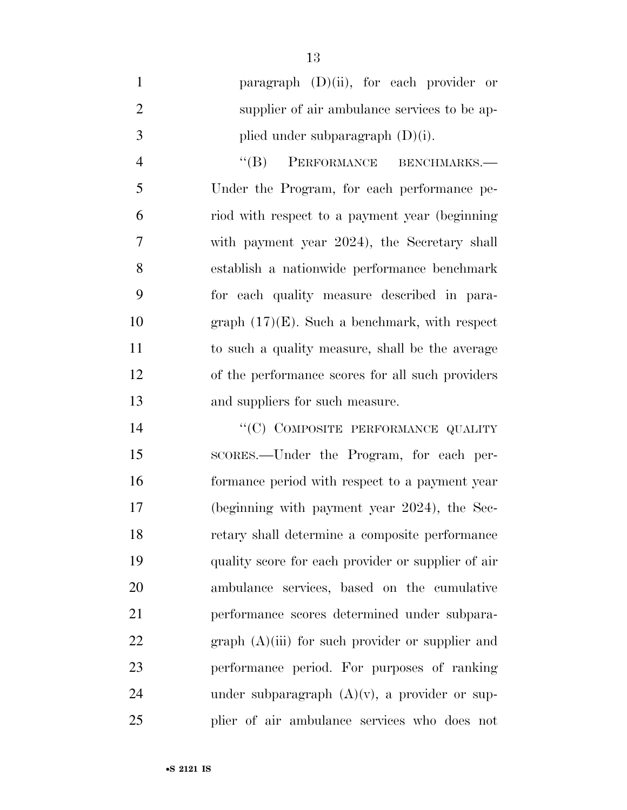|               | paragraph $(D)(ii)$ , for each provider or   |  |  |  |
|---------------|----------------------------------------------|--|--|--|
|               | supplier of air ambulance services to be ap- |  |  |  |
| $\mathcal{R}$ | plied under subparagraph $(D)(i)$ .          |  |  |  |

4 "(B) PERFORMANCE BENCHMARKS.— Under the Program, for each performance pe- riod with respect to a payment year (beginning with payment year 2024), the Secretary shall establish a nationwide performance benchmark for each quality measure described in para- graph (17)(E). Such a benchmark, with respect to such a quality measure, shall be the average of the performance scores for all such providers and suppliers for such measure.

14 "(C) COMPOSITE PERFORMANCE QUALITY SCORES.—Under the Program, for each per- formance period with respect to a payment year (beginning with payment year 2024), the Sec- retary shall determine a composite performance quality score for each provider or supplier of air ambulance services, based on the cumulative performance scores determined under subpara-22 graph (A)(iii) for such provider or supplier and performance period. For purposes of ranking 24 under subparagraph  $(A)(v)$ , a provider or sup-plier of air ambulance services who does not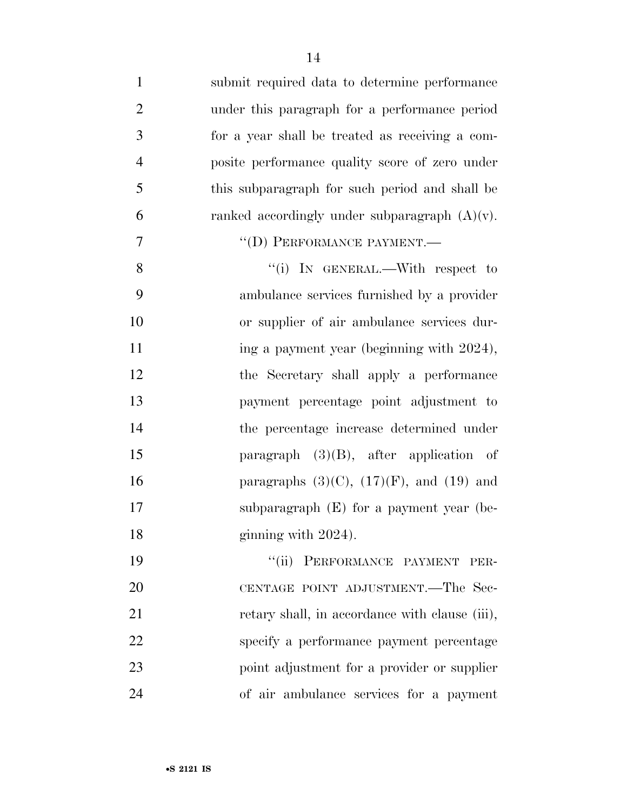| $\mathbf{1}$   | submit required data to determine performance    |
|----------------|--------------------------------------------------|
| $\overline{2}$ | under this paragraph for a performance period    |
| 3              | for a year shall be treated as receiving a com-  |
| $\overline{4}$ | posite performance quality score of zero under   |
| 5              | this subparagraph for such period and shall be   |
| 6              | ranked accordingly under subparagraph $(A)(v)$ . |
| $\overline{7}$ | "(D) PERFORMANCE PAYMENT.-                       |
| 8              | "(i) IN GENERAL.—With respect to                 |
| 9              | ambulance services furnished by a provider       |
| 10             | or supplier of air ambulance services dur-       |
| 11             | ing a payment year (beginning with 2024),        |
| 12             | the Secretary shall apply a performance          |
| 13             | payment percentage point adjustment to           |
| 14             | the percentage increase determined under         |
| 15             | paragraph $(3)(B)$ , after application of        |
| 16             | paragraphs $(3)(C)$ , $(17)(F)$ , and $(19)$ and |
| 17             | subparagraph $(E)$ for a payment year (be-       |
| 18             | ginning with 2024).                              |
| 19             | "(ii) PERFORMANCE PAYMENT<br>PER-                |
| 20             | CENTAGE POINT ADJUSTMENT.—The Sec-               |
| 21             | retary shall, in accordance with clause (iii),   |
| 22             | specify a performance payment percentage         |
| 23             | point adjustment for a provider or supplier      |
| 24             | of air ambulance services for a payment          |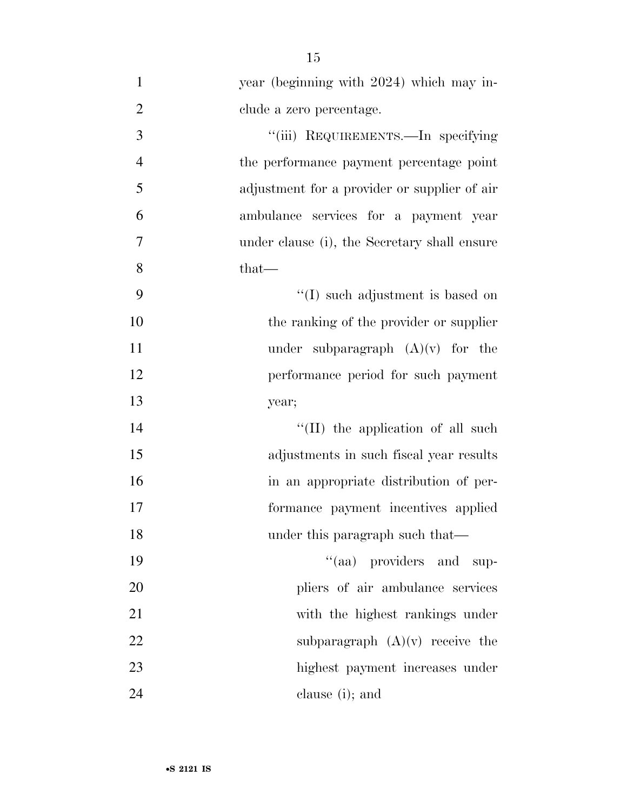| $\mathbf{1}$   | year (beginning with 2024) which may in-     |
|----------------|----------------------------------------------|
| $\overline{2}$ | clude a zero percentage.                     |
| 3              | "(iii) REQUIREMENTS.—In specifying           |
| $\overline{4}$ | the performance payment percentage point     |
| 5              | adjustment for a provider or supplier of air |
| 6              | ambulance services for a payment year        |
| 7              | under clause (i), the Secretary shall ensure |
| 8              | that-                                        |
| 9              | "(I) such adjustment is based on             |
| 10             | the ranking of the provider or supplier      |
| 11             | under subparagraph $(A)(v)$ for the          |
| 12             | performance period for such payment          |
| 13             | year;                                        |
| 14             | "(II) the application of all such            |
| 15             | adjustments in such fiscal year results      |
| 16             | in an appropriate distribution of per-       |
| 17             | formance payment incentives applied          |
| 18             | under this paragraph such that—              |
| 19             | "(aa) providers and<br>sup-                  |
| 20             | pliers of air ambulance services             |
| 21             | with the highest rankings under              |
| 22             | subparagraph $(A)(v)$ receive the            |
| 23             | highest payment increases under              |
| 24             | clause (i); and                              |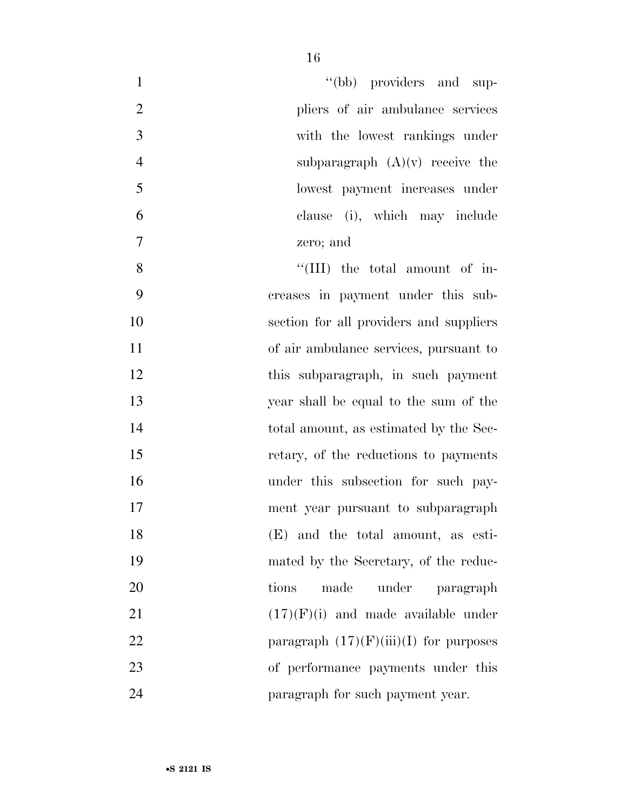| $\mathbf{1}$     | "(bb) providers and sup-                 |
|------------------|------------------------------------------|
| $\overline{2}$   | pliers of air ambulance services         |
| 3                | with the lowest rankings under           |
| $\overline{4}$   | subparagraph $(A)(v)$ receive the        |
| 5                | lowest payment increases under           |
| 6                | clause (i), which may include            |
| $\boldsymbol{7}$ | zero; and                                |
| 8                | "(III) the total amount of in-           |
| 9                | creases in payment under this sub-       |
| 10               | section for all providers and suppliers  |
| 11               | of air ambulance services, pursuant to   |
| 12               | this subparagraph, in such payment       |
| 13               | year shall be equal to the sum of the    |
| 14               | total amount, as estimated by the Sec-   |
| 15               | retary, of the reductions to payments    |
| 16               | under this subsection for such pay-      |
| 17               | ment year pursuant to subparagraph       |
| 18               | (E) and the total amount, as esti-       |
| 19               | mated by the Secretary, of the reduc-    |
| 20               | made<br>under<br>tions<br>paragraph      |
| 21               | $(17)(F)(i)$ and made available under    |
| 22               | paragraph $(17)(F)(iii)(I)$ for purposes |
| 23               | of performance payments under this       |
| 24               | paragraph for such payment year.         |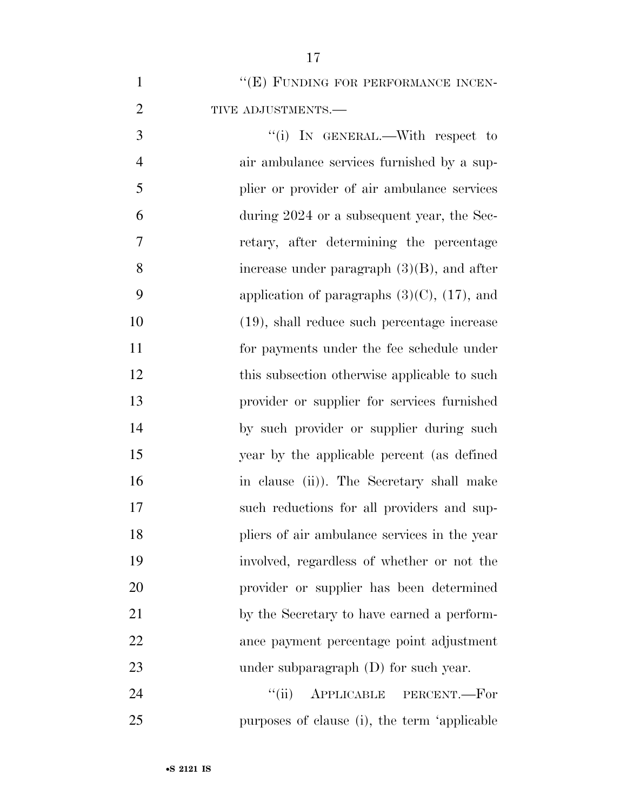| $\mathbf{1}$   | "(E) FUNDING FOR PERFORMANCE INCEN-               |
|----------------|---------------------------------------------------|
| $\overline{2}$ | TIVE ADJUSTMENTS.-                                |
| 3              | "(i) IN GENERAL.—With respect to                  |
| $\overline{4}$ | air ambulance services furnished by a sup-        |
| 5              | plier or provider of air ambulance services       |
| 6              | during 2024 or a subsequent year, the Sec-        |
| 7              | retary, after determining the percentage          |
| 8              | increase under paragraph $(3)(B)$ , and after     |
| 9              | application of paragraphs $(3)(C)$ , $(17)$ , and |
| 10             | $(19)$ , shall reduce such percentage increase    |
| 11             | for payments under the fee schedule under         |
| 12             | this subsection otherwise applicable to such      |
| 13             | provider or supplier for services furnished       |
| 14             | by such provider or supplier during such          |
| 15             | year by the applicable percent (as defined        |
| 16             | in clause (ii)). The Secretary shall make         |
| 17             | such reductions for all providers and sup-        |
| 18             | pliers of air ambulance services in the year      |
| 19             | involved, regardless of whether or not the        |
| 20             | provider or supplier has been determined          |
| 21             | by the Secretary to have earned a perform-        |
| 22             | ance payment percentage point adjustment          |
| 23             | under subparagraph $(D)$ for such year.           |
| 24             | ``(ii)<br>APPLICABLE PERCENT.-For                 |

purposes of clause (i), the term 'applicable